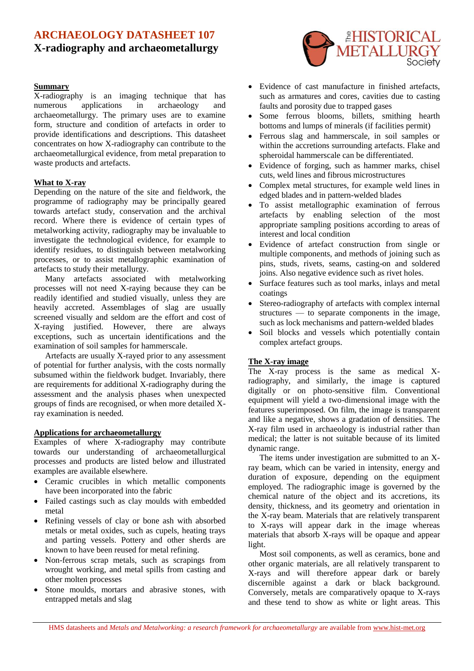# **ARCHAEOLOGY DATASHEET 107 X-radiography and archaeometallurgy**

#### **Summary**

X-radiography is an imaging technique that has numerous applications in archaeology and archaeometallurgy. The primary uses are to examine form, structure and condition of artefacts in order to provide identifications and descriptions. This datasheet concentrates on how X-radiography can contribute to the archaeometallurgical evidence, from metal preparation to waste products and artefacts.

## **What to X-ray**

Depending on the nature of the site and fieldwork, the programme of radiography may be principally geared towards artefact study, conservation and the archival record. Where there is evidence of certain types of metalworking activity, radiography may be invaluable to investigate the technological evidence, for example to identify residues, to distinguish between metalworking processes, or to assist metallographic examination of artefacts to study their metallurgy.

Many artefacts associated with metalworking processes will not need X-raying because they can be readily identified and studied visually, unless they are heavily accreted. Assemblages of slag are usually screened visually and seldom are the effort and cost of X-raying justified. However, there are always exceptions, such as uncertain identifications and the examination of soil samples for hammerscale.

Artefacts are usually X-rayed prior to any assessment of potential for further analysis, with the costs normally subsumed within the fieldwork budget. Invariably, there are requirements for additional X-radiography during the assessment and the analysis phases when unexpected groups of finds are recognised, or when more detailed Xray examination is needed.

## **Applications for archaeometallurgy**

Examples of where X-radiography may contribute towards our understanding of archaeometallurgical processes and products are listed below and illustrated examples are available elsewhere.

- Ceramic crucibles in which metallic components have been incorporated into the fabric
- Failed castings such as clay moulds with embedded metal
- Refining vessels of clay or bone ash with absorbed metals or metal oxides, such as cupels, heating trays and parting vessels. Pottery and other sherds are known to have been reused for metal refining.
- Non-ferrous scrap metals, such as scrapings from wrought working, and metal spills from casting and other molten processes
- Stone moulds, mortars and abrasive stones, with entrapped metals and slag



- Evidence of cast manufacture in finished artefacts, such as armatures and cores, cavities due to casting faults and porosity due to trapped gases
- Some ferrous blooms, billets, smithing hearth bottoms and lumps of minerals (if facilities permit)
- Ferrous slag and hammerscale, in soil samples or within the accretions surrounding artefacts. Flake and spheroidal hammerscale can be differentiated.
- Evidence of forging, such as hammer marks, chisel cuts, weld lines and fibrous microstructures
- Complex metal structures, for example weld lines in edged blades and in pattern-welded blades
- To assist metallographic examination of ferrous artefacts by enabling selection of the most appropriate sampling positions according to areas of interest and local condition
- Evidence of artefact construction from single or multiple components, and methods of joining such as pins, studs, rivets, seams, casting-on and soldered joins. Also negative evidence such as rivet holes.
- Surface features such as tool marks, inlays and metal coatings
- Stereo-radiography of artefacts with complex internal structures — to separate components in the image, such as lock mechanisms and pattern-welded blades
- Soil blocks and vessels which potentially contain complex artefact groups.

## **The X-ray image**

The X-ray process is the same as medical Xradiography, and similarly, the image is captured digitally or on photo-sensitive film. Conventional equipment will yield a two-dimensional image with the features superimposed. On film, the image is transparent and like a negative, shows a gradation of densities. The X-ray film used in archaeology is industrial rather than medical; the latter is not suitable because of its limited dynamic range.

The items under investigation are submitted to an Xray beam, which can be varied in intensity, energy and duration of exposure, depending on the equipment employed. The radiographic image is governed by the chemical nature of the object and its accretions, its density, thickness, and its geometry and orientation in the X-ray beam. Materials that are relatively transparent to X-rays will appear dark in the image whereas materials that absorb X-rays will be opaque and appear light.

Most soil components, as well as ceramics, bone and other organic materials, are all relatively transparent to X-rays and will therefore appear dark or barely discernible against a dark or black background. Conversely, metals are comparatively opaque to X-rays and these tend to show as white or light areas. This